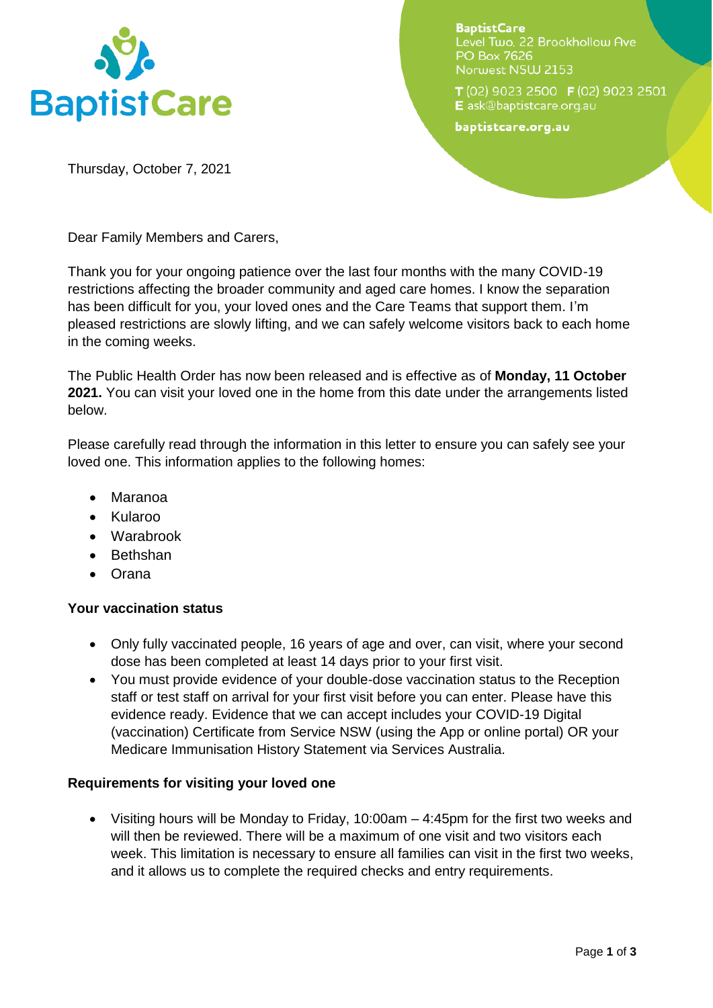

**BaptistCare** Level Two, 22 Brookhollow Ave PO Box 7626 Norwest NSW 2153

T (02) 9023 2500 F (02) 9023 2501 E ask@baptistcare.org.au

baptistcare.org.au

Thursday, October 7, 2021

Dear Family Members and Carers,

Thank you for your ongoing patience over the last four months with the many COVID-19 restrictions affecting the broader community and aged care homes. I know the separation has been difficult for you, your loved ones and the Care Teams that support them. I'm pleased restrictions are slowly lifting, and we can safely welcome visitors back to each home in the coming weeks.

The Public Health Order has now been released and is effective as of **Monday, 11 October 2021.** You can visit your loved one in the home from this date under the arrangements listed below.

Please carefully read through the information in this letter to ensure you can safely see your loved one. This information applies to the following homes:

- Maranoa
- Kularoo
- Warabrook
- Bethshan
- Orana

# **Your vaccination status**

- Only fully vaccinated people, 16 years of age and over, can visit, where your second dose has been completed at least 14 days prior to your first visit.
- You must provide evidence of your double-dose vaccination status to the Reception staff or test staff on arrival for your first visit before you can enter. Please have this evidence ready. Evidence that we can accept includes your COVID-19 Digital (vaccination) Certificate from Service NSW (using the App or online portal) OR your Medicare Immunisation History Statement via Services Australia.

## **Requirements for visiting your loved one**

 Visiting hours will be Monday to Friday, 10:00am – 4:45pm for the first two weeks and will then be reviewed. There will be a maximum of one visit and two visitors each week. This limitation is necessary to ensure all families can visit in the first two weeks, and it allows us to complete the required checks and entry requirements.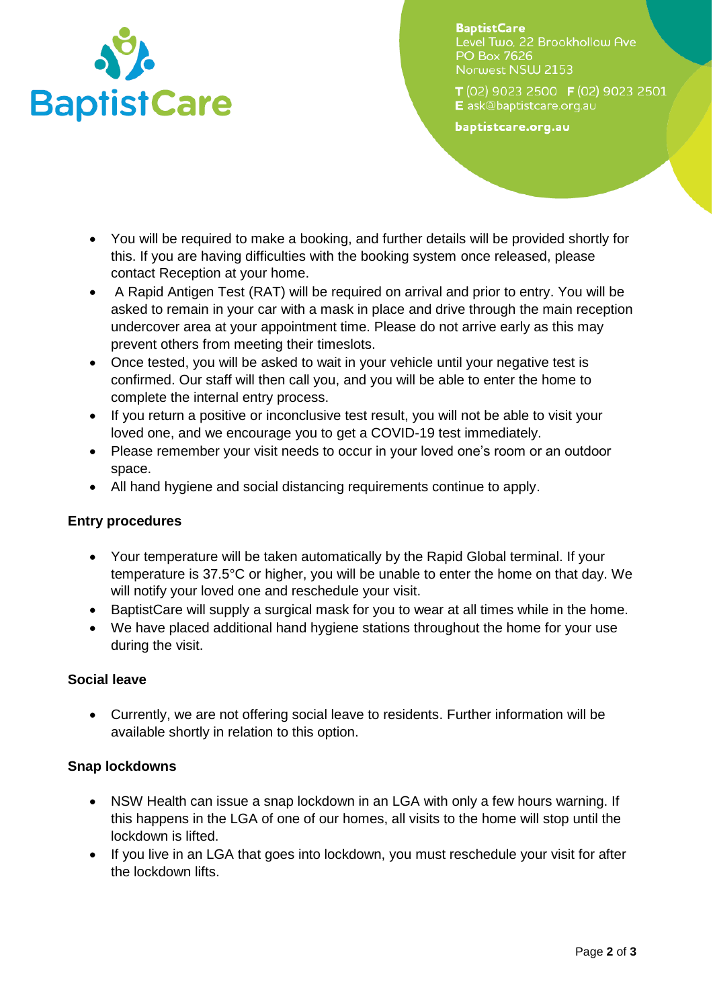

**BaptistCare** Level Two, 22 Brookhollow Ave PO Box 7626 Norwest NSW 2153

T (02) 9023 2500 F (02) 9023 2501 E ask@baptistcare.org.au

baptistcare.org.au

- You will be required to make a booking, and further details will be provided shortly for this. If you are having difficulties with the booking system once released, please contact Reception at your home.
- A Rapid Antigen Test (RAT) will be required on arrival and prior to entry. You will be asked to remain in your car with a mask in place and drive through the main reception undercover area at your appointment time. Please do not arrive early as this may prevent others from meeting their timeslots.
- Once tested, you will be asked to wait in your vehicle until your negative test is confirmed. Our staff will then call you, and you will be able to enter the home to complete the internal entry process.
- If you return a positive or inconclusive test result, you will not be able to visit your loved one, and we encourage you to get a COVID-19 test immediately.
- Please remember your visit needs to occur in your loved one's room or an outdoor space.
- All hand hygiene and social distancing requirements continue to apply.

# **Entry procedures**

- Your temperature will be taken automatically by the Rapid Global terminal. If your temperature is 37.5°C or higher, you will be unable to enter the home on that day. We will notify your loved one and reschedule your visit.
- BaptistCare will supply a surgical mask for you to wear at all times while in the home.
- We have placed additional hand hygiene stations throughout the home for your use during the visit.

# **Social leave**

 Currently, we are not offering social leave to residents. Further information will be available shortly in relation to this option.

# **Snap lockdowns**

- NSW Health can issue a snap lockdown in an LGA with only a few hours warning. If this happens in the LGA of one of our homes, all visits to the home will stop until the lockdown is lifted.
- If you live in an LGA that goes into lockdown, you must reschedule your visit for after the lockdown lifts.